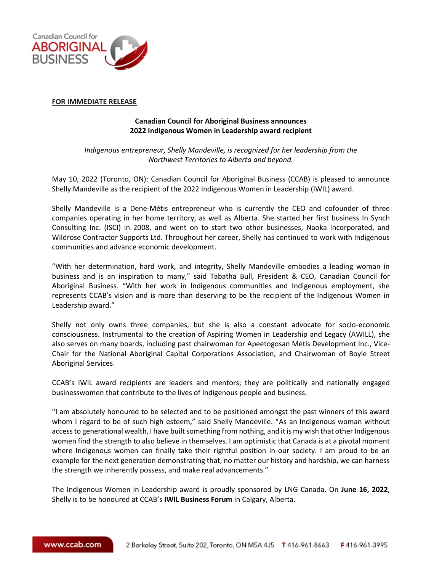

## **FOR IMMEDIATE RELEASE**

## **Canadian Council for Aboriginal Business announces 2022 Indigenous Women in Leadership award recipient**

*Indigenous entrepreneur, Shelly Mandeville, is recognized for her leadership from the Northwest Territories to Alberta and beyond.*

May 10, 2022 (Toronto, ON): Canadian Council for Aboriginal Business (CCAB) is pleased to announce Shelly Mandeville as the recipient of the 2022 Indigenous Women in Leadership (IWIL) award.

Shelly Mandeville is a Dene-Métis entrepreneur who is currently the CEO and cofounder of three companies operating in her home territory, as well as Alberta. She started her first business In Synch Consulting Inc. (ISCI) in 2008, and went on to start two other businesses, Naoka Incorporated, and Wildrose Contractor Supports Ltd. Throughout her career, Shelly has continued to work with Indigenous communities and advance economic development.

"With her determination, hard work, and integrity, Shelly Mandeville embodies a leading woman in business and is an inspiration to many," said Tabatha Bull, President & CEO, Canadian Council for Aboriginal Business. "With her work in Indigenous communities and Indigenous employment, she represents CCAB's vision and is more than deserving to be the recipient of the Indigenous Women in Leadership award."

Shelly not only owns three companies, but she is also a constant advocate for socio-economic consciousness. Instrumental to the creation of Aspiring Women in Leadership and Legacy (AWILL), she also serves on many boards, including past chairwoman for Apeetogosan Métis Development Inc., Vice-Chair for the National Aboriginal Capital Corporations Association, and Chairwoman of Boyle Street Aboriginal Services.

CCAB's IWIL award recipients are leaders and mentors; they are politically and nationally engaged businesswomen that contribute to the lives of Indigenous people and business.

"I am absolutely honoured to be selected and to be positioned amongst the past winners of this award whom I regard to be of such high esteem," said Shelly Mandeville. "As an Indigenous woman without access to generational wealth, I have built something from nothing, and it is my wish that other Indigenous women find the strength to also believe in themselves. I am optimistic that Canada is at a pivotal moment where Indigenous women can finally take their rightful position in our society. I am proud to be an example for the next generation demonstrating that, no matter our history and hardship, we can harness the strength we inherently possess, and make real advancements."

The Indigenous Women in Leadership award is proudly sponsored by LNG Canada. On **June 16, 2022**, Shelly is to be honoured at CCAB's **IWIL Business Forum** in Calgary, Alberta.